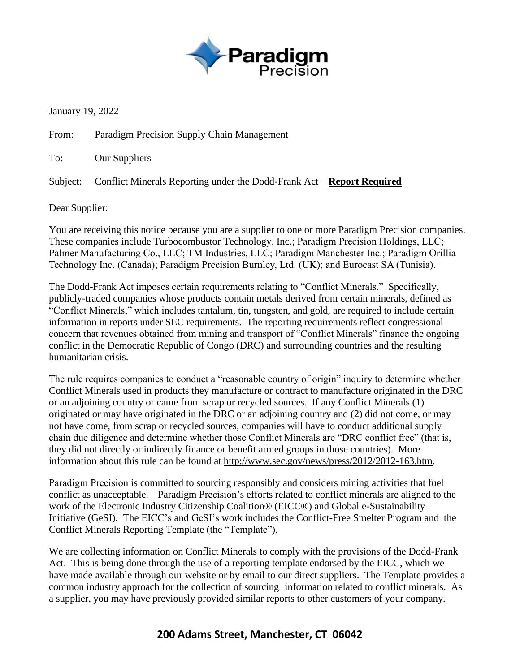

January 19, 2022

From: Paradigm Precision Supply Chain Management

To: Our Suppliers

Subject: Conflict Minerals Reporting under the Dodd-Frank Act – **Report Required**

Dear Supplier:

You are receiving this notice because you are a supplier to one or more Paradigm Precision companies. These companies include Turbocombustor Technology, Inc.; Paradigm Precision Holdings, LLC; Palmer Manufacturing Co., LLC; TM Industries, LLC; Paradigm Manchester Inc.; Paradigm Orillia Technology Inc. (Canada); Paradigm Precision Burnley, Ltd. (UK); and Eurocast SA (Tunisia).

The Dodd-Frank Act imposes certain requirements relating to "Conflict Minerals." Specifically, publicly-traded companies whose products contain metals derived from certain minerals, defined as "Conflict Minerals," which includes tantalum, tin, tungsten, and gold, are required to include certain information in reports under SEC requirements. The reporting requirements reflect congressional concern that revenues obtained from mining and transport of "Conflict Minerals" finance the ongoing conflict in the Democratic Republic of Congo (DRC) and surrounding countries and the resulting humanitarian crisis.

The rule requires companies to conduct a "reasonable country of origin" inquiry to determine whether Conflict Minerals used in products they manufacture or contract to manufacture originated in the DRC or an adjoining country or came from scrap or recycled sources. If any Conflict Minerals (1) originated or may have originated in the DRC or an adjoining country and (2) did not come, or may not have come, from scrap or recycled sources, companies will have to conduct additional supply chain due diligence and determine whether those Conflict Minerals are "DRC conflict free" (that is, they did not directly or indirectly finance or benefit armed groups in those countries). More information about this rule can be found at http://www.sec.gov/news/press/2012/2012-163.htm.

Paradigm Precision is committed to sourcing responsibly and considers mining activities that fuel conflict as unacceptable. Paradigm Precision's efforts related to conflict minerals are aligned to the work of the Electronic Industry Citizenship Coalition® (EICC®) and Global e-Sustainability Initiative (GeSI). The EICC's and GeSI's work includes the Conflict-Free Smelter Program and the Conflict Minerals Reporting Template (the "Template").

We are collecting information on Conflict Minerals to comply with the provisions of the Dodd-Frank Act. This is being done through the use of a reporting template endorsed by the EICC, which we have made available through our website or by email to our direct suppliers. The Template provides a common industry approach for the collection of sourcing information related to conflict minerals. As a supplier, you may have previously provided similar reports to other customers of your company.